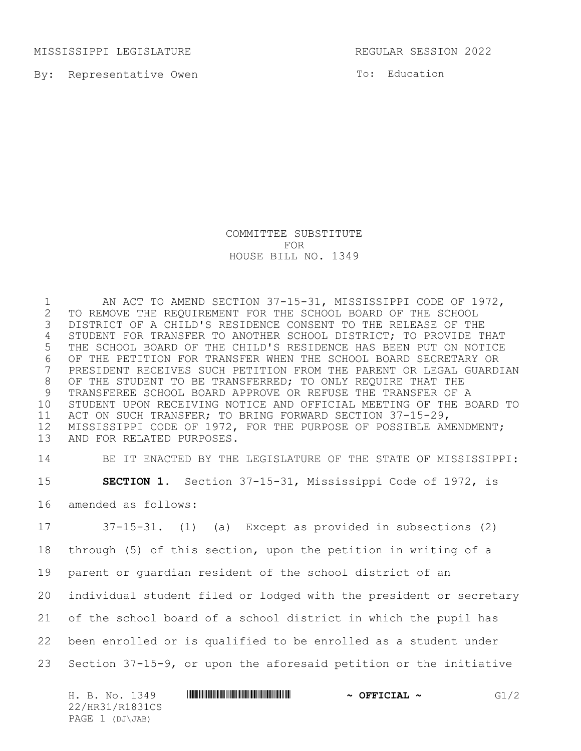MISSISSIPPI LEGISLATURE REGULAR SESSION 2022

By: Representative Owen

To: Education

## COMMITTEE SUBSTITUTE FOR HOUSE BILL NO. 1349

1 AN ACT TO AMEND SECTION 37-15-31, MISSISSIPPI CODE OF 1972,<br>2 TO REMOVE THE REQUIREMENT FOR THE SCHOOL BOARD OF THE SCHOOL 2 TO REMOVE THE REQUIREMENT FOR THE SCHOOL BOARD OF THE SCHOOL<br>3 DISTRICT OF A CHILD'S RESIDENCE CONSENT TO THE RELEASE OF THI DISTRICT OF A CHILD'S RESIDENCE CONSENT TO THE RELEASE OF THE STUDENT FOR TRANSFER TO ANOTHER SCHOOL DISTRICT; TO PROVIDE THAT THE SCHOOL BOARD OF THE CHILD'S RESIDENCE HAS BEEN PUT ON NOTICE OF THE PETITION FOR TRANSFER WHEN THE SCHOOL BOARD SECRETARY OR PRESIDENT RECEIVES SUCH PETITION FROM THE PARENT OR LEGAL GUARDIAN OF THE STUDENT TO BE TRANSFERRED; TO ONLY REQUIRE THAT THE TRANSFEREE SCHOOL BOARD APPROVE OR REFUSE THE TRANSFER OF A STUDENT UPON RECEIVING NOTICE AND OFFICIAL MEETING OF THE BOARD TO ACT ON SUCH TRANSFER; TO BRING FORWARD SECTION 37-15-29, MISSISSIPPI CODE OF 1972, FOR THE PURPOSE OF POSSIBLE AMENDMENT; AND FOR RELATED PURPOSES.

 BE IT ENACTED BY THE LEGISLATURE OF THE STATE OF MISSISSIPPI: **SECTION 1.** Section 37-15-31, Mississippi Code of 1972, is amended as follows:

 37-15-31. (1) (a) Except as provided in subsections (2) through (5) of this section, upon the petition in writing of a parent or guardian resident of the school district of an individual student filed or lodged with the president or secretary of the school board of a school district in which the pupil has been enrolled or is qualified to be enrolled as a student under Section 37-15-9, or upon the aforesaid petition or the initiative

| H. B. No. 1349  | $\sim$ OFFICIAL $\sim$ | G1/2 |
|-----------------|------------------------|------|
| 22/HR31/R1831CS |                        |      |
| PAGE 1 (DJ\JAB) |                        |      |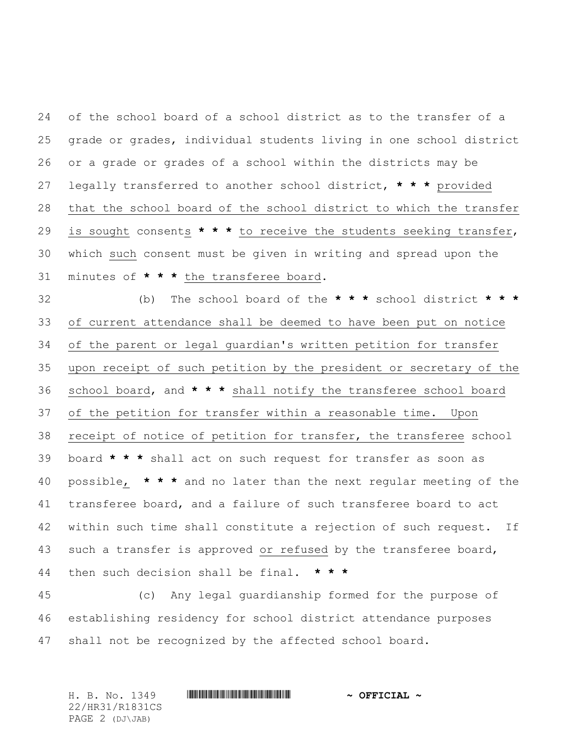of the school board of a school district as to the transfer of a grade or grades, individual students living in one school district or a grade or grades of a school within the districts may be legally transferred to another school district, **\* \* \*** provided that the school board of the school district to which the transfer is sought consents **\* \* \*** to receive the students seeking transfer, which such consent must be given in writing and spread upon the minutes of **\* \* \*** the transferee board.

 (b) The school board of the **\* \* \*** school district **\* \* \*** of current attendance shall be deemed to have been put on notice of the parent or legal guardian's written petition for transfer upon receipt of such petition by the president or secretary of the school board, and **\* \* \*** shall notify the transferee school board of the petition for transfer within a reasonable time. Upon receipt of notice of petition for transfer, the transferee school board **\* \* \*** shall act on such request for transfer as soon as possible, **\* \* \*** and no later than the next regular meeting of the transferee board, and a failure of such transferee board to act within such time shall constitute a rejection of such request. If such a transfer is approved or refused by the transferee board, then such decision shall be final. **\* \* \***

 (c) Any legal guardianship formed for the purpose of establishing residency for school district attendance purposes shall not be recognized by the affected school board.

H. B. No. 1349 \*HR31/R1831CS\* **~ OFFICIAL ~** 22/HR31/R1831CS PAGE 2 (DJ\JAB)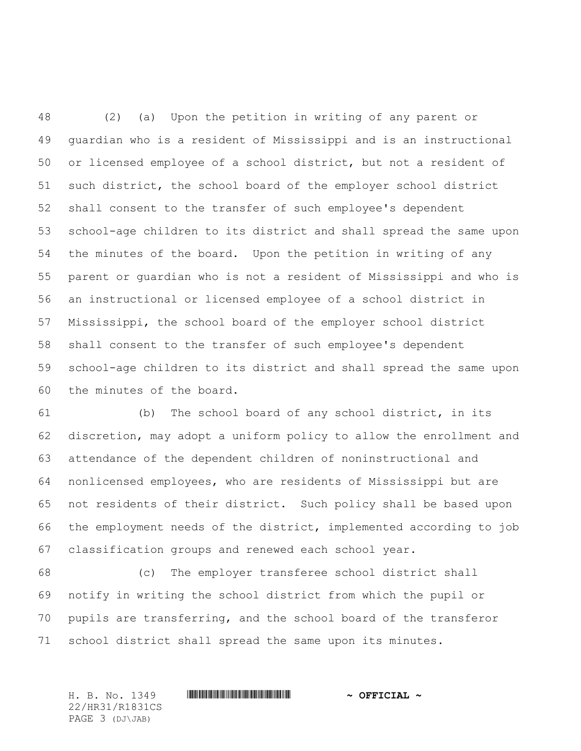(2) (a) Upon the petition in writing of any parent or guardian who is a resident of Mississippi and is an instructional or licensed employee of a school district, but not a resident of such district, the school board of the employer school district shall consent to the transfer of such employee's dependent school-age children to its district and shall spread the same upon the minutes of the board. Upon the petition in writing of any parent or guardian who is not a resident of Mississippi and who is an instructional or licensed employee of a school district in Mississippi, the school board of the employer school district shall consent to the transfer of such employee's dependent school-age children to its district and shall spread the same upon the minutes of the board.

 (b) The school board of any school district, in its discretion, may adopt a uniform policy to allow the enrollment and attendance of the dependent children of noninstructional and nonlicensed employees, who are residents of Mississippi but are not residents of their district. Such policy shall be based upon the employment needs of the district, implemented according to job classification groups and renewed each school year.

 (c) The employer transferee school district shall notify in writing the school district from which the pupil or pupils are transferring, and the school board of the transferor school district shall spread the same upon its minutes.

H. B. No. 1349 \*HR31/R1831CS\* **~ OFFICIAL ~** 22/HR31/R1831CS PAGE 3 (DJ\JAB)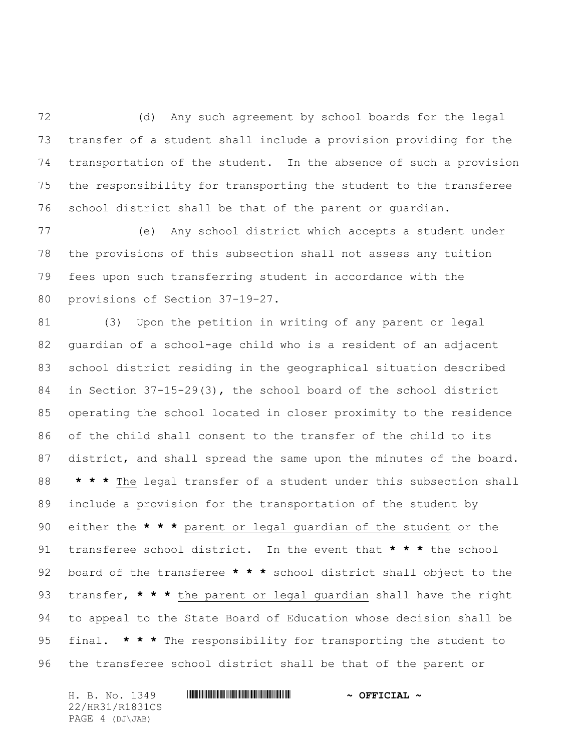(d) Any such agreement by school boards for the legal transfer of a student shall include a provision providing for the transportation of the student. In the absence of such a provision the responsibility for transporting the student to the transferee school district shall be that of the parent or guardian.

 (e) Any school district which accepts a student under the provisions of this subsection shall not assess any tuition fees upon such transferring student in accordance with the provisions of Section 37-19-27.

 (3) Upon the petition in writing of any parent or legal guardian of a school-age child who is a resident of an adjacent school district residing in the geographical situation described in Section 37-15-29(3), the school board of the school district operating the school located in closer proximity to the residence of the child shall consent to the transfer of the child to its 87 district, and shall spread the same upon the minutes of the board. **\* \* \*** The legal transfer of a student under this subsection shall include a provision for the transportation of the student by either the **\* \* \*** parent or legal guardian of the student or the transferee school district. In the event that **\* \* \*** the school board of the transferee **\* \* \*** school district shall object to the transfer, **\* \* \*** the parent or legal guardian shall have the right to appeal to the State Board of Education whose decision shall be final. **\* \* \*** The responsibility for transporting the student to the transferee school district shall be that of the parent or

H. B. No. 1349 **. AND AND AN ABLE AND ACTUAL A** 22/HR31/R1831CS PAGE 4 (DJ\JAB)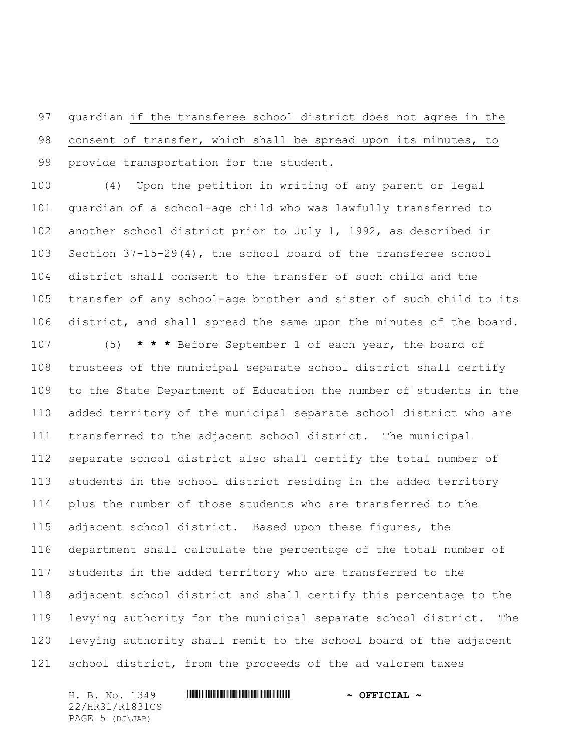guardian if the transferee school district does not agree in the consent of transfer, which shall be spread upon its minutes, to provide transportation for the student.

 (4) Upon the petition in writing of any parent or legal guardian of a school-age child who was lawfully transferred to another school district prior to July 1, 1992, as described in Section 37-15-29(4), the school board of the transferee school district shall consent to the transfer of such child and the transfer of any school-age brother and sister of such child to its district, and shall spread the same upon the minutes of the board.

 (5) **\* \* \*** Before September 1 of each year, the board of trustees of the municipal separate school district shall certify to the State Department of Education the number of students in the added territory of the municipal separate school district who are transferred to the adjacent school district. The municipal separate school district also shall certify the total number of students in the school district residing in the added territory plus the number of those students who are transferred to the adjacent school district. Based upon these figures, the department shall calculate the percentage of the total number of students in the added territory who are transferred to the adjacent school district and shall certify this percentage to the levying authority for the municipal separate school district. The levying authority shall remit to the school board of the adjacent school district, from the proceeds of the ad valorem taxes

22/HR31/R1831CS PAGE 5 (DJ\JAB)

## H. B. No. 1349 **. AND AND AN ABLE AND ACTUAL A**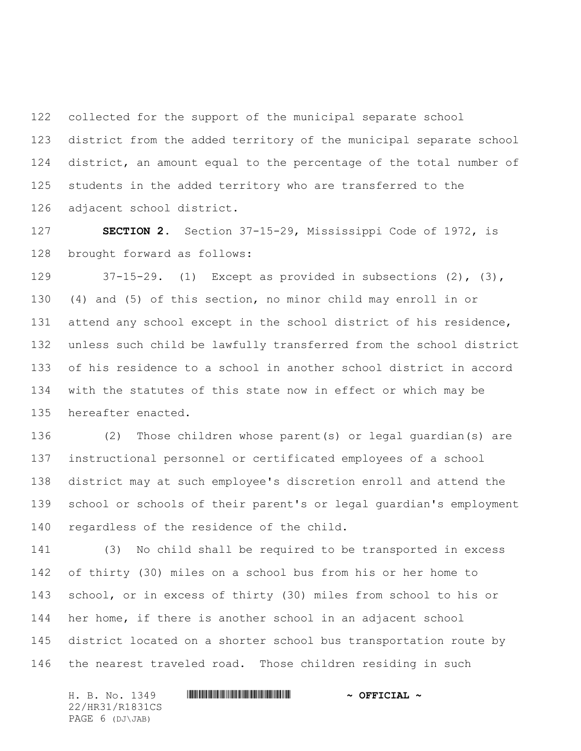collected for the support of the municipal separate school district from the added territory of the municipal separate school district, an amount equal to the percentage of the total number of students in the added territory who are transferred to the adjacent school district.

 **SECTION 2.** Section 37-15-29, Mississippi Code of 1972, is brought forward as follows:

 37-15-29. (1) Except as provided in subsections (2), (3), (4) and (5) of this section, no minor child may enroll in or attend any school except in the school district of his residence, unless such child be lawfully transferred from the school district of his residence to a school in another school district in accord with the statutes of this state now in effect or which may be hereafter enacted.

 (2) Those children whose parent(s) or legal guardian(s) are instructional personnel or certificated employees of a school district may at such employee's discretion enroll and attend the school or schools of their parent's or legal guardian's employment regardless of the residence of the child.

 (3) No child shall be required to be transported in excess of thirty (30) miles on a school bus from his or her home to school, or in excess of thirty (30) miles from school to his or her home, if there is another school in an adjacent school district located on a shorter school bus transportation route by the nearest traveled road. Those children residing in such

22/HR31/R1831CS PAGE 6 (DJ\JAB)

## H. B. No. 1349 \*HR31/R1831CS\* **~ OFFICIAL ~**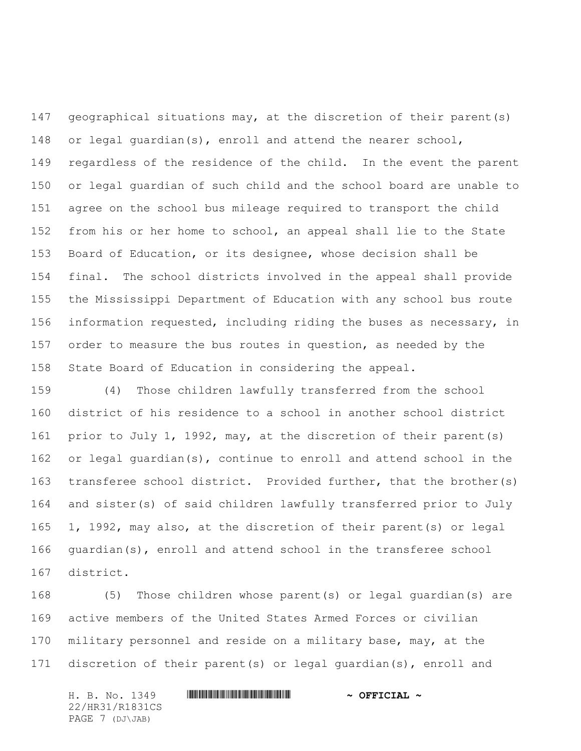geographical situations may, at the discretion of their parent(s) or legal guardian(s), enroll and attend the nearer school, regardless of the residence of the child. In the event the parent or legal guardian of such child and the school board are unable to agree on the school bus mileage required to transport the child from his or her home to school, an appeal shall lie to the State Board of Education, or its designee, whose decision shall be final. The school districts involved in the appeal shall provide the Mississippi Department of Education with any school bus route information requested, including riding the buses as necessary, in order to measure the bus routes in question, as needed by the State Board of Education in considering the appeal.

 (4) Those children lawfully transferred from the school district of his residence to a school in another school district prior to July 1, 1992, may, at the discretion of their parent(s) or legal guardian(s), continue to enroll and attend school in the transferee school district. Provided further, that the brother(s) and sister(s) of said children lawfully transferred prior to July 1, 1992, may also, at the discretion of their parent(s) or legal guardian(s), enroll and attend school in the transferee school district.

 (5) Those children whose parent(s) or legal guardian(s) are active members of the United States Armed Forces or civilian military personnel and reside on a military base, may, at the discretion of their parent(s) or legal guardian(s), enroll and

H. B. No. 1349 **. AND AND AN ABLE AND ACTUAL A** 22/HR31/R1831CS PAGE 7 (DJ\JAB)